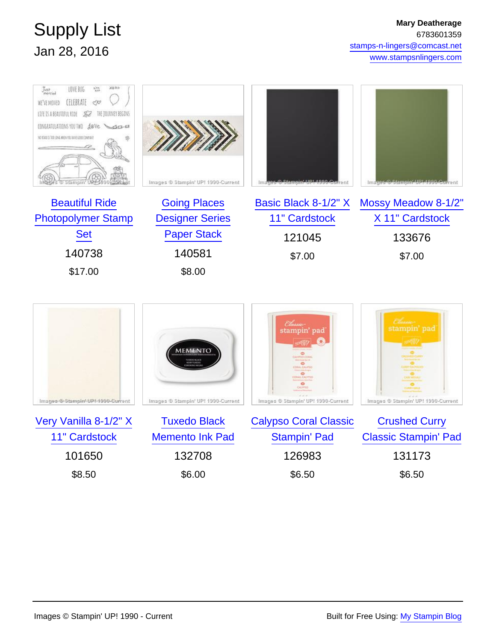## Supply List Jan 28, 2016

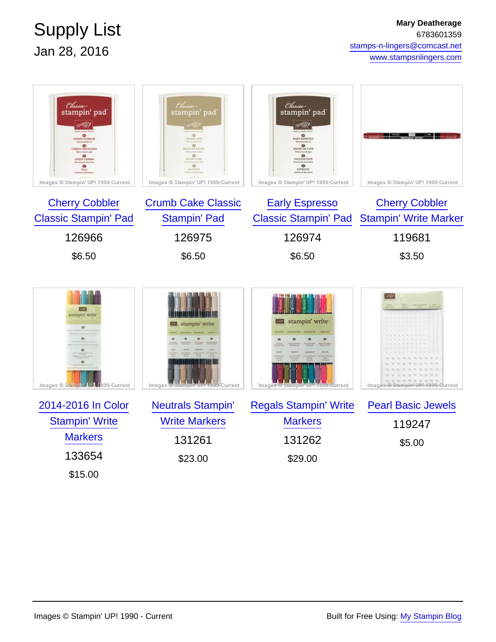## Supply List Jan 28, 2016

| Classic-<br>stampin' pad<br>sv jiv/<br>OENTCONNER<br><b>CENZATIVIADOM</b><br>CERSE CARNER<br>۰<br>CHILI<br>Images ® Stampin' UP! 1990-Current<br><b>Cherry Cobbler</b><br><b>Classic Stampin' Pad</b> | Classic<br>stampin' pad<br>a Yiliy<br>۰<br>CRUNIS CANS<br><b>HILME DUNE</b><br>Images ® Stampin' UP! 1990-Current<br><b>Crumb Cake Classic</b><br><b>Stampin' Pad</b> | Classic<br>stampin' pad<br>st lip?<br><b>CARLY ESPRESSO</b><br>$\overset{\bullet}{\bullet}$<br>COULEUR CAPE<br>۰<br>ESPRESSO<br>Images ® Stampin' UP! 1990-Current<br><b>Early Espresso</b><br><b>Classic Stampin' Pad</b> | Images ® Stampin' UP! 1990-Current<br><b>Cherry Cobbler</b><br><b>Stampin' Write Marker</b> |
|-------------------------------------------------------------------------------------------------------------------------------------------------------------------------------------------------------|-----------------------------------------------------------------------------------------------------------------------------------------------------------------------|----------------------------------------------------------------------------------------------------------------------------------------------------------------------------------------------------------------------------|---------------------------------------------------------------------------------------------|
| 126966                                                                                                                                                                                                | 126975                                                                                                                                                                | 126974                                                                                                                                                                                                                     | 119681                                                                                      |
| \$6.50                                                                                                                                                                                                | \$6.50                                                                                                                                                                | \$6.50                                                                                                                                                                                                                     | \$3.50                                                                                      |
| stampin' write<br>$\bullet$<br>$\bullet$<br>Images © Stampfn UP 1990-Current                                                                                                                          | stampin' write<br>Images <sup>19</sup> Stampin<br>1990-Current                                                                                                        | stampin' write<br>Images <sup>ig</sup>                                                                                                                                                                                     | Images @ Stampin-UPI-1999-Ourrent                                                           |
| 2014-2016 In Color                                                                                                                                                                                    | <b>Neutrals Stampin'</b>                                                                                                                                              | <b>Regals Stampin' Write</b>                                                                                                                                                                                               | <b>Pearl Basic Jewels</b>                                                                   |
| <b>Stampin' Write</b>                                                                                                                                                                                 | <b>Write Markers</b>                                                                                                                                                  | <b>Markers</b>                                                                                                                                                                                                             | 119247                                                                                      |
| <b>Markers</b>                                                                                                                                                                                        | 131261                                                                                                                                                                | 131262                                                                                                                                                                                                                     | \$5.00                                                                                      |
| 133654                                                                                                                                                                                                | \$23.00                                                                                                                                                               | \$29.00                                                                                                                                                                                                                    |                                                                                             |

\$15.00